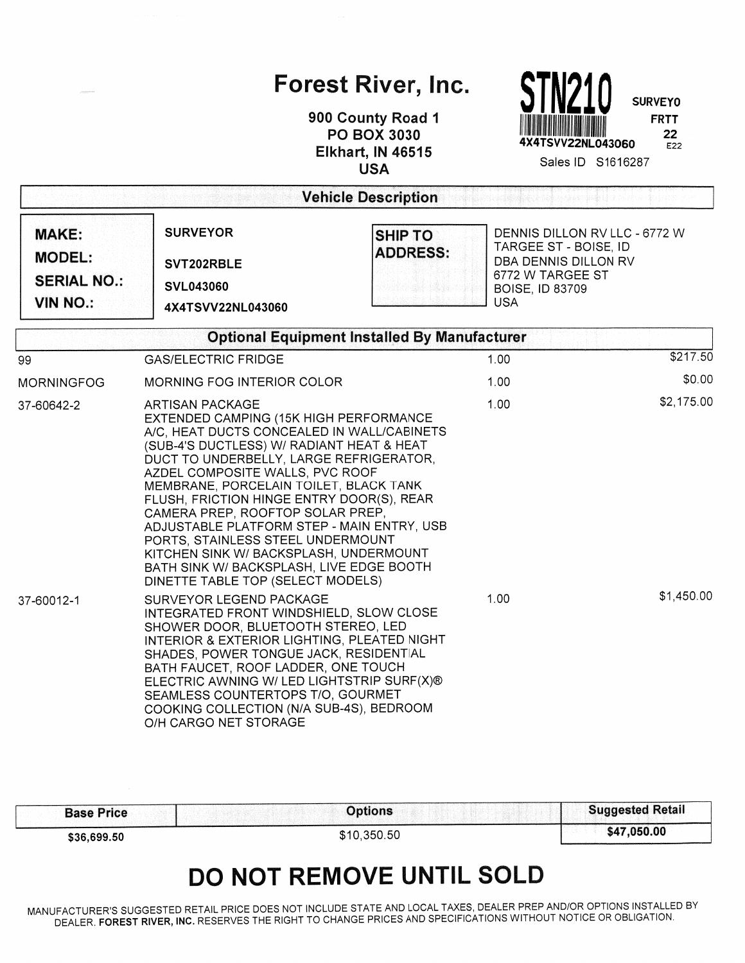## Forest River, Inc.

900 County Road 1 **PO BOX 3030 Elkhart, IN 46515 USA** 



Sales ID S1616287

| <b>Vehicle Description</b>                                             |                                                                                                                                                                                                                                                                                                                                                                                                                                                                                                                                                                                    |                                                     |                                                                                                                                            |            |  |  |  |
|------------------------------------------------------------------------|------------------------------------------------------------------------------------------------------------------------------------------------------------------------------------------------------------------------------------------------------------------------------------------------------------------------------------------------------------------------------------------------------------------------------------------------------------------------------------------------------------------------------------------------------------------------------------|-----------------------------------------------------|--------------------------------------------------------------------------------------------------------------------------------------------|------------|--|--|--|
| <b>MAKE:</b><br><b>MODEL:</b><br><b>SERIAL NO.:</b><br><b>VIN NO.:</b> | <b>SURVEYOR</b><br><b>SHIP TO</b><br><b>ADDRESS:</b><br>SVT202RBLE<br><b>SVL043060</b><br>4X4TSVV22NL043060                                                                                                                                                                                                                                                                                                                                                                                                                                                                        |                                                     | DENNIS DILLON RV LLC - 6772 W<br>TARGEE ST - BOISE, ID<br>DBA DENNIS DILLON RV<br>6772 W TARGEE ST<br><b>BOISE, ID 83709</b><br><b>USA</b> |            |  |  |  |
|                                                                        |                                                                                                                                                                                                                                                                                                                                                                                                                                                                                                                                                                                    | <b>Optional Equipment Installed By Manufacturer</b> |                                                                                                                                            |            |  |  |  |
| 99                                                                     | <b>GAS/ELECTRIC FRIDGE</b>                                                                                                                                                                                                                                                                                                                                                                                                                                                                                                                                                         |                                                     | 1.00                                                                                                                                       | \$217.50   |  |  |  |
| <b>MORNINGFOG</b>                                                      | <b>MORNING FOG INTERIOR COLOR</b>                                                                                                                                                                                                                                                                                                                                                                                                                                                                                                                                                  | 1.00                                                | \$0.00                                                                                                                                     |            |  |  |  |
| 37-60642-2                                                             | <b>ARTISAN PACKAGE</b><br>EXTENDED CAMPING (15K HIGH PERFORMANCE<br>A/C, HEAT DUCTS CONCEALED IN WALL/CABINETS<br>(SUB-4'S DUCTLESS) W/ RADIANT HEAT & HEAT<br>DUCT TO UNDERBELLY, LARGE REFRIGERATOR,<br>AZDEL COMPOSITE WALLS, PVC ROOF<br>MEMBRANE, PORCELAIN TOILET, BLACK TANK<br>FLUSH, FRICTION HINGE ENTRY DOOR(S), REAR<br>CAMERA PREP, ROOFTOP SOLAR PREP,<br>ADJUSTABLE PLATFORM STEP - MAIN ENTRY, USB<br>PORTS, STAINLESS STEEL UNDERMOUNT<br>KITCHEN SINK W/ BACKSPLASH, UNDERMOUNT<br>BATH SINK W/ BACKSPLASH, LIVE EDGE BOOTH<br>DINETTE TABLE TOP (SELECT MODELS) | 1.00                                                | \$2,175.00                                                                                                                                 |            |  |  |  |
| 37-60012-1                                                             | SURVEYOR LEGEND PACKAGE<br>INTEGRATED FRONT WINDSHIELD, SLOW CLOSE<br>SHOWER DOOR, BLUETOOTH STEREO, LED<br>INTERIOR & EXTERIOR LIGHTING, PLEATED NIGHT<br>SHADES, POWER TONGUE JACK, RESIDENTIAL<br>BATH FAUCET, ROOF LADDER, ONE TOUCH<br>ELECTRIC AWNING W/ LED LIGHTSTRIP SURF(X)®<br>SEAMLESS COUNTERTOPS T/O, GOURMET<br>COOKING COLLECTION (N/A SUB-4S), BEDROOM<br>O/H CARGO NET STORAGE                                                                                                                                                                                   |                                                     | 1.00                                                                                                                                       | \$1,450.00 |  |  |  |

| <b>Base Price</b> | <b>Options</b> | <b>Suggested Retail</b> |
|-------------------|----------------|-------------------------|
| \$36,699.50       | \$10,350.50    | \$47,050.00             |

## DO NOT REMOVE UNTIL SOLD

MANUFACTURER'S SUGGESTED RETAIL PRICE DOES NOT INCLUDE STATE AND LOCAL TAXES, DEALER PREP AND/OR OPTIONS INSTALLED BY DEALER. FOREST RIVER, INC. RESERVES THE RIGHT TO CHANGE PRICES AND SPECIFICATIONS WITHOUT NOTICE OR OBLIGATION.